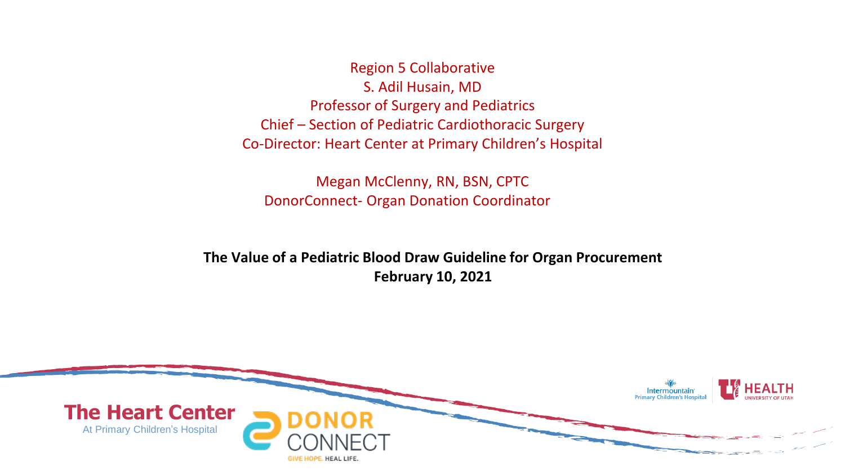Region 5 Collaborative S. Adil Husain, MD Professor of Surgery and Pediatrics Chief – Section of Pediatric Cardiothoracic Surgery Co-Director: Heart Center at Primary Children's Hospital

Megan McClenny, RN, BSN, CPTC DonorConnect- Organ Donation Coordinator

**The Value of a Pediatric Blood Draw Guideline for Organ Procurement February 10, 2021**

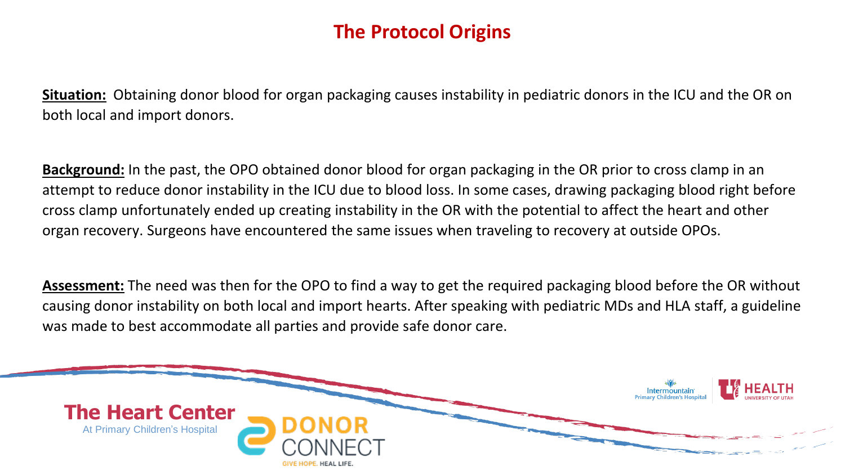# **The Protocol Origins**

**Situation:** Obtaining donor blood for organ packaging causes instability in pediatric donors in the ICU and the OR on both local and import donors.

**Background:** In the past, the OPO obtained donor blood for organ packaging in the OR prior to cross clamp in an attempt to reduce donor instability in the ICU due to blood loss. In some cases, drawing packaging blood right before cross clamp unfortunately ended up creating instability in the OR with the potential to affect the heart and other organ recovery. Surgeons have encountered the same issues when traveling to recovery at outside OPOs.

**Assessment:** The need was then for the OPO to find a way to get the required packaging blood before the OR without causing donor instability on both local and import hearts. After speaking with pediatric MDs and HLA staff, a guideline was made to best accommodate all parties and provide safe donor care.

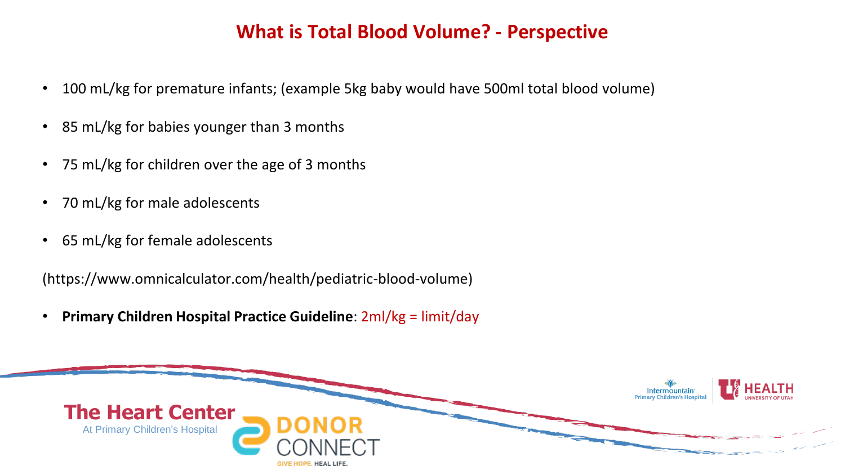## **What is Total Blood Volume? - Perspective**

- 100 mL/kg for premature infants; (example 5kg baby would have 500ml total blood volume)
- 85 mL/kg for babies younger than 3 months
- 75 mL/kg for children over the age of 3 months
- 70 mL/kg for male adolescents
- 65 mL/kg for female adolescents

(https://www.omnicalculator.com/health/pediatric-blood-volume)

• **Primary Children Hospital Practice Guideline**: 2ml/kg = limit/day

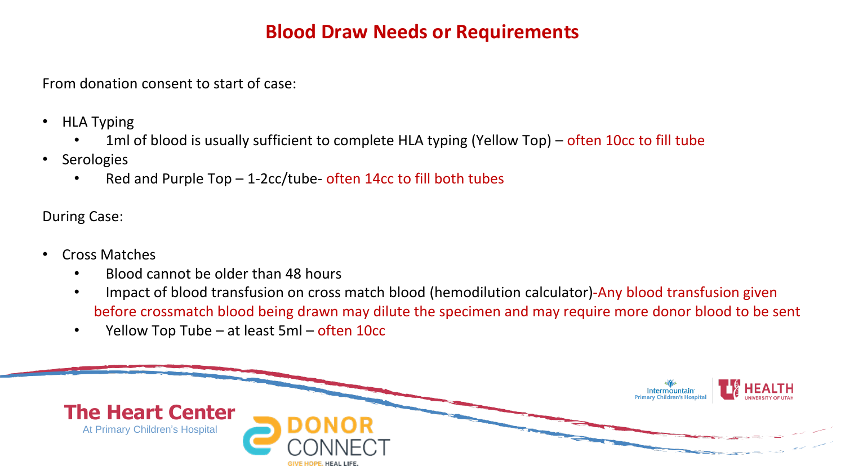### **Blood Draw Needs or Requirements**

From donation consent to start of case:

- HLA Typing
	- 1ml of blood is usually sufficient to complete HLA typing (Yellow Top) often 10cc to fill tube
- **Serologies** 
	- Red and Purple Top  $-$  1-2cc/tube- often 14cc to fill both tubes

During Case:

- Cross Matches
	- Blood cannot be older than 48 hours
	- Impact of blood transfusion on cross match blood (hemodilution calculator)-Any blood transfusion given before crossmatch blood being drawn may dilute the specimen and may require more donor blood to be sent
	- Yellow Top Tube at least 5ml often 10cc

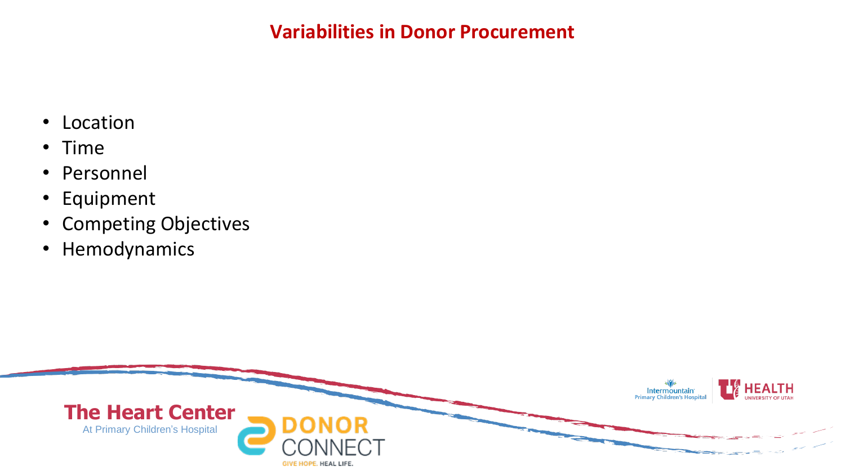### **Variabilities in Donor Procurement**

- Location
- Time
- Personnel
- Equipment
- Competing Objectives
- Hemodynamics

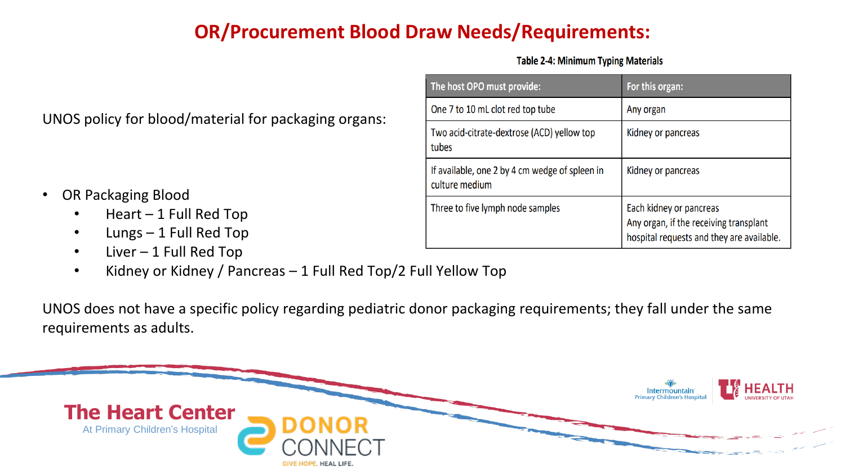# **OR/Procurement Blood Draw Needs/Requirements:**

**Table 2-4: Minimum Typing Materials** 

| UNOS policy for blood/material for packaging organs: |  |
|------------------------------------------------------|--|
|------------------------------------------------------|--|

- OR Packaging Blood
	- Heart 1 Full Red Top
	- Lungs 1 Full Red Top
	- Liver 1 Full Red Top
	- Kidney or Kidney / Pancreas 1 Full Red Top/2 Full Yellow Top

UNOS does not have a specific policy regarding pediatric donor packaging requirements; they fall under the same requirements as adults.



| The host OPO must provide:                                       | For this organ:                                                                                                |
|------------------------------------------------------------------|----------------------------------------------------------------------------------------------------------------|
| One 7 to 10 mL clot red top tube                                 | Any organ                                                                                                      |
| Two acid-citrate-dextrose (ACD) yellow top<br>tubes              | Kidney or pancreas                                                                                             |
| If available, one 2 by 4 cm wedge of spleen in<br>culture medium | Kidney or pancreas                                                                                             |
| Three to five lymph node samples                                 | Each kidney or pancreas<br>Any organ, if the receiving transplant<br>hospital requests and they are available. |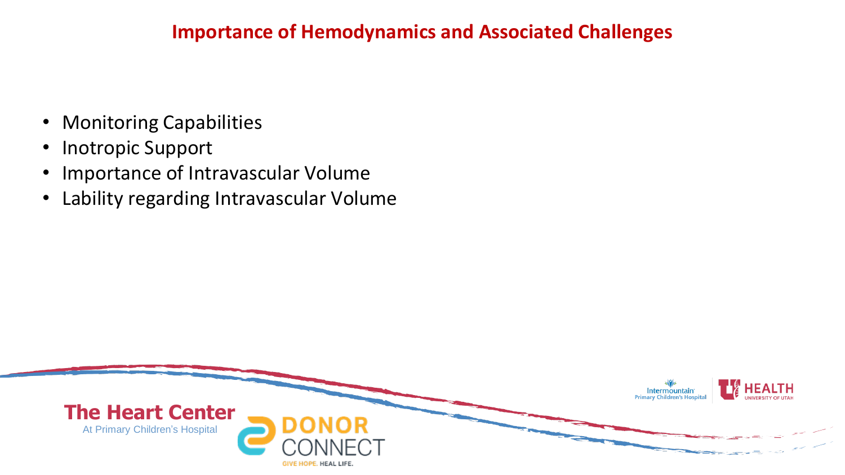### **Importance of Hemodynamics and Associated Challenges**

- Monitoring Capabilities
- Inotropic Support
- Importance of Intravascular Volume
- Lability regarding Intravascular Volume

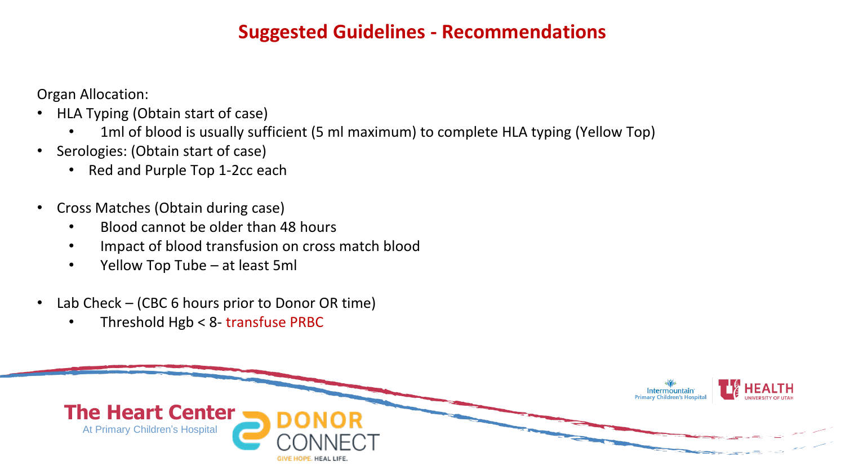## **Suggested Guidelines - Recommendations**

Organ Allocation:

- HLA Typing (Obtain start of case)
	- 1ml of blood is usually sufficient (5 ml maximum) to complete HLA typing (Yellow Top)
- Serologies: (Obtain start of case)
	- Red and Purple Top 1-2cc each
- Cross Matches (Obtain during case)
	- Blood cannot be older than 48 hours
	- Impact of blood transfusion on cross match blood
	- Yellow Top Tube at least 5ml
- Lab Check (CBC 6 hours prior to Donor OR time)
	- Threshold Hgb < 8- transfuse PRBC

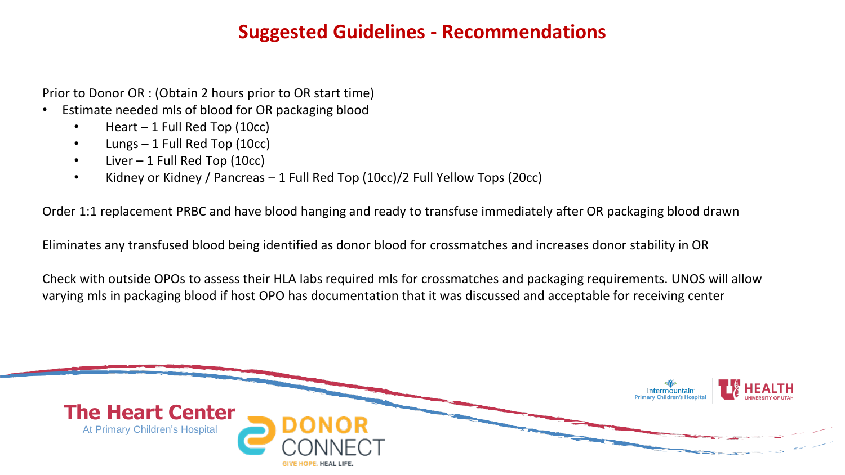### **Suggested Guidelines - Recommendations**

Prior to Donor OR : (Obtain 2 hours prior to OR start time)

- Estimate needed mls of blood for OR packaging blood
	- Heart 1 Full Red Top (10cc)
	- Lungs 1 Full Red Top (10cc)
	- Liver 1 Full Red Top (10cc)
	- Kidney or Kidney / Pancreas 1 Full Red Top (10cc)/2 Full Yellow Tops (20cc)

Order 1:1 replacement PRBC and have blood hanging and ready to transfuse immediately after OR packaging blood drawn

Eliminates any transfused blood being identified as donor blood for crossmatches and increases donor stability in OR

Check with outside OPOs to assess their HLA labs required mls for crossmatches and packaging requirements. UNOS will allow varying mls in packaging blood if host OPO has documentation that it was discussed and acceptable for receiving center